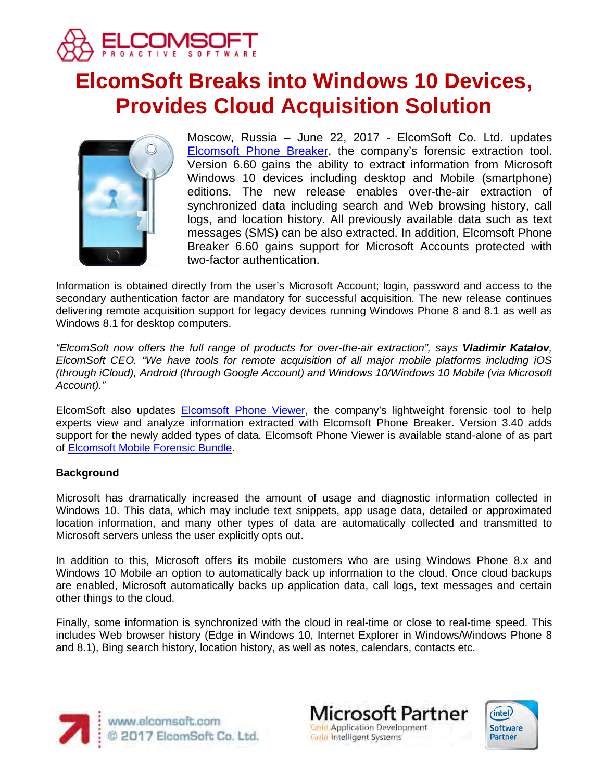

# **ElcomSoft Breaks into Windows 10 Devices, Provides Cloud Acquisition Solution**



Moscow, Russia – June 22, 2017 - ElcomSoft Co. Ltd. updates [Elcomsoft Phone Breaker,](https://www.elcomsoft.com/eppb.html) the company's forensic extraction tool. Version 6.60 gains the ability to extract information from Microsoft Windows 10 devices including desktop and Mobile (smartphone) editions. The new release enables over-the-air extraction of synchronized data including search and Web browsing history, call logs, and location history. All previously available data such as text messages (SMS) can be also extracted. In addition, Elcomsoft Phone Breaker 6.60 gains support for Microsoft Accounts protected with two-factor authentication.

Information is obtained directly from the user's Microsoft Account; login, password and access to the secondary authentication factor are mandatory for successful acquisition. The new release continues delivering remote acquisition support for legacy devices running Windows Phone 8 and 8.1 as well as Windows 8.1 for desktop computers.

*"ElcomSoft now offers the full range of products for over-the-air extraction", says Vladimir Katalov, ElcomSoft CEO. "We have tools for remote acquisition of all major mobile platforms including iOS (through iCloud), Android (through Google Account) and Windows 10/Windows 10 Mobile (via Microsoft Account)."*

ElcomSoft also updates [Elcomsoft Phone Viewer,](https://www.elcomsoft.com/epv.html) the company's lightweight forensic tool to help experts view and analyze information extracted with Elcomsoft Phone Breaker. Version 3.40 adds support for the newly added types of data. Elcomsoft Phone Viewer is available stand-alone of as part of [Elcomsoft Mobile Forensic Bundle.](https://www.elcomsoft.com/emfb.html)

## **Background**

Microsoft has dramatically increased the amount of usage and diagnostic information collected in Windows 10. This data, which may include text snippets, app usage data, detailed or approximated location information, and many other types of data are automatically collected and transmitted to Microsoft servers unless the user explicitly opts out.

In addition to this, Microsoft offers its mobile customers who are using Windows Phone 8.x and Windows 10 Mobile an option to automatically back up information to the cloud. Once cloud backups are enabled, Microsoft automatically backs up application data, call logs, text messages and certain other things to the cloud.

Finally, some information is synchronized with the cloud in real-time or close to real-time speed. This includes Web browser history (Edge in Windows 10, Internet Explorer in Windows/Windows Phone 8 and 8.1), Bing search history, location history, as well as notes, calendars, contacts etc.